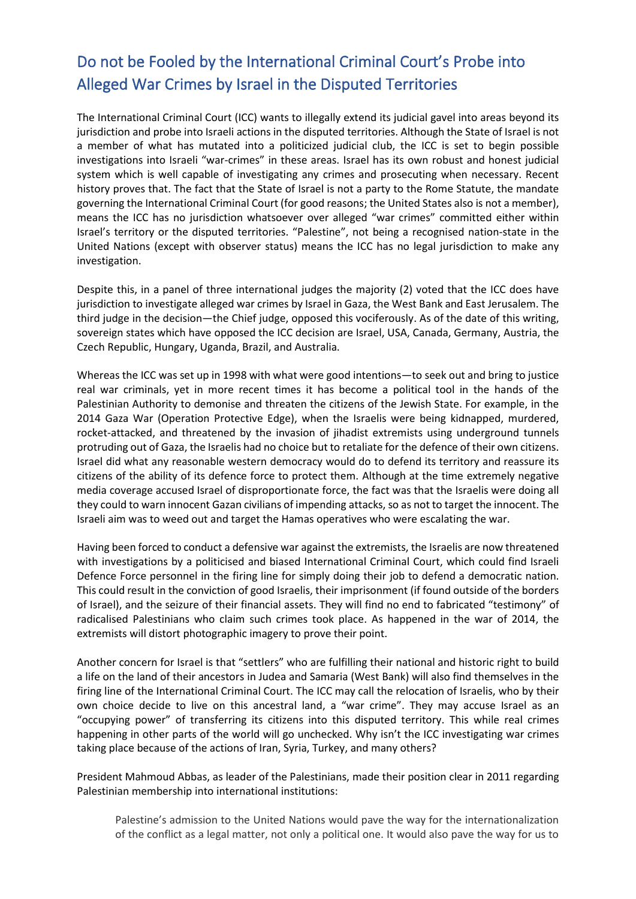## Do not be Fooled by the International Criminal Court's Probe into Alleged War Crimes by Israel in the Disputed Territories

The International Criminal Court (ICC) wants to illegally extend its judicial gavel into areas beyond its jurisdiction and probe into Israeli actions in the disputed territories. Although the State of Israel is not a member of what has mutated into a politicized judicial club, the ICC is set to begin possible investigations into Israeli "war-crimes" in these areas. Israel has its own robust and honest judicial system which is well capable of investigating any crimes and prosecuting when necessary. Recent history proves that. The fact that the State of Israel is not a party to the Rome Statute, the mandate governing the International Criminal Court (for good reasons; the United States also is not a member), means the ICC has no jurisdiction whatsoever over alleged "war crimes" committed either within Israel's territory or the disputed territories. "Palestine", not being a recognised nation-state in the United Nations (except with observer status) means the ICC has no legal jurisdiction to make any investigation.

Despite this, in a panel of three international judges the majority (2) voted that the ICC does have jurisdiction to investigate alleged war crimes by Israel in Gaza, the West Bank and East Jerusalem. The third judge in the decision—the Chief judge, opposed this vociferously. As of the date of this writing, sovereign states which have opposed the ICC decision are Israel, USA, Canada, Germany, Austria, the Czech Republic, Hungary, Uganda, Brazil, and Australia.

Whereas the ICC was set up in 1998 with what were good intentions—to seek out and bring to justice real war criminals, yet in more recent times it has become a political tool in the hands of the Palestinian Authority to demonise and threaten the citizens of the Jewish State. For example, in the 2014 Gaza War (Operation Protective Edge), when the Israelis were being kidnapped, murdered, rocket-attacked, and threatened by the invasion of jihadist extremists using underground tunnels protruding out of Gaza, the Israelis had no choice but to retaliate for the defence of their own citizens. Israel did what any reasonable western democracy would do to defend its territory and reassure its citizens of the ability of its defence force to protect them. Although at the time extremely negative media coverage accused Israel of disproportionate force, the fact was that the Israelis were doing all they could to warn innocent Gazan civilians of impending attacks, so as not to target the innocent. The Israeli aim was to weed out and target the Hamas operatives who were escalating the war.

Having been forced to conduct a defensive war against the extremists, the Israelis are now threatened with investigations by a politicised and biased International Criminal Court, which could find Israeli Defence Force personnel in the firing line for simply doing their job to defend a democratic nation. This could result in the conviction of good Israelis, their imprisonment (if found outside of the borders of Israel), and the seizure of their financial assets. They will find no end to fabricated "testimony" of radicalised Palestinians who claim such crimes took place. As happened in the war of 2014, the extremists will distort photographic imagery to prove their point.

Another concern for Israel is that "settlers" who are fulfilling their national and historic right to build a life on the land of their ancestors in Judea and Samaria (West Bank) will also find themselves in the firing line of the International Criminal Court. The ICC may call the relocation of Israelis, who by their own choice decide to live on this ancestral land, a "war crime". They may accuse Israel as an "occupying power" of transferring its citizens into this disputed territory. This while real crimes happening in other parts of the world will go unchecked. Why isn't the ICC investigating war crimes taking place because of the actions of Iran, Syria, Turkey, and many others?

President Mahmoud Abbas, as leader of the Palestinians, made their position clear in 2011 regarding Palestinian membership into international institutions:

Palestine's admission to the United Nations would pave the way for the internationalization of the conflict as a legal matter, not only a political one. It would also pave the way for us to